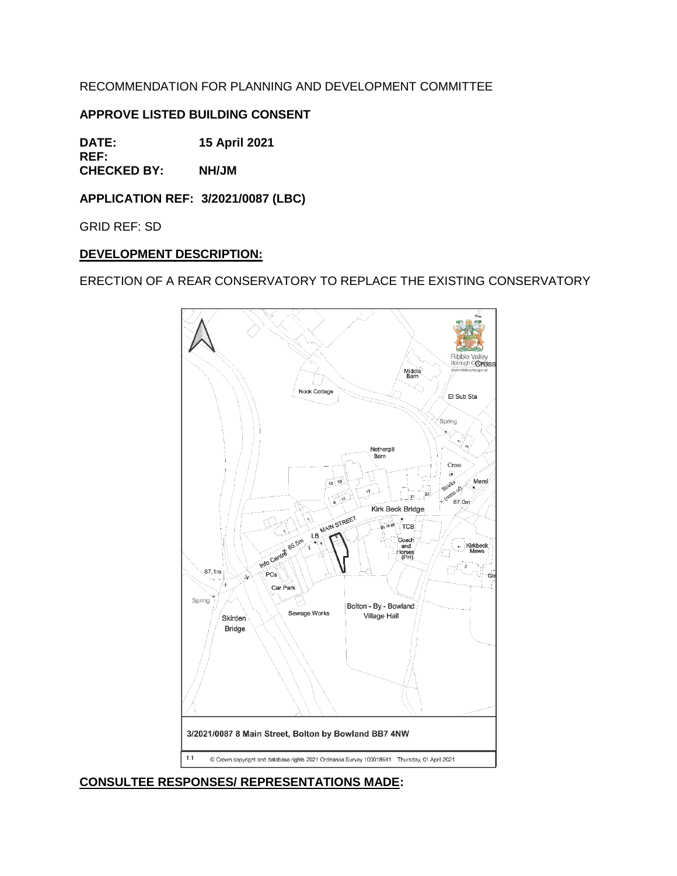RECOMMENDATION FOR PLANNING AND DEVELOPMENT COMMITTEE

# **APPROVE LISTED BUILDING CONSENT**

**DATE: 15 April 2021 REF:**

**CHECKED BY: NH/JM**

**APPLICATION REF: 3/2021/0087 (LBC)**

GRID REF: SD

### **DEVELOPMENT DESCRIPTION:**

ERECTION OF A REAR CONSERVATORY TO REPLACE THE EXISTING CONSERVATORY



**CONSULTEE RESPONSES/ REPRESENTATIONS MADE:**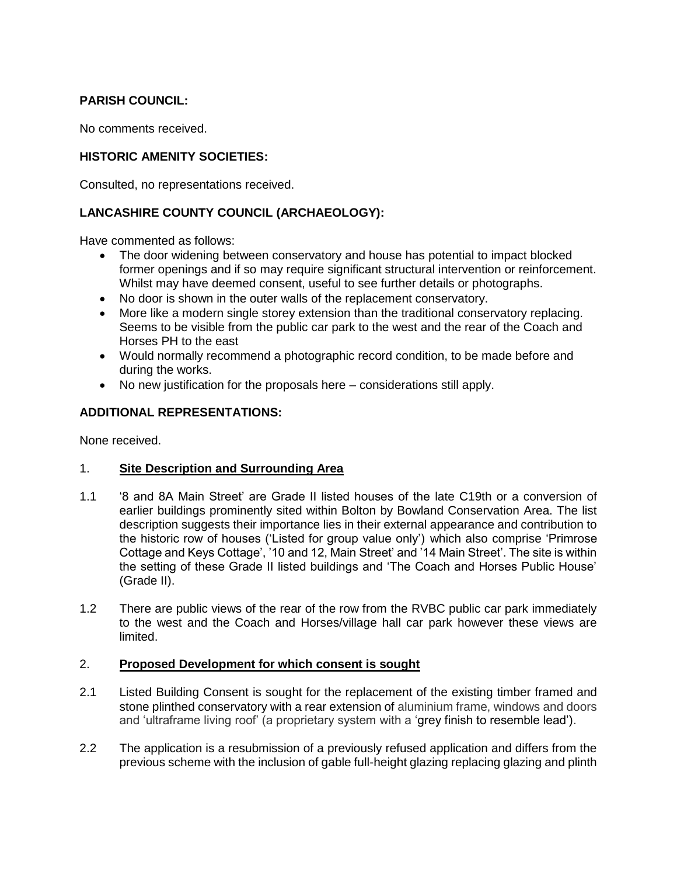# **PARISH COUNCIL:**

No comments received.

# **HISTORIC AMENITY SOCIETIES:**

Consulted, no representations received.

# **LANCASHIRE COUNTY COUNCIL (ARCHAEOLOGY):**

Have commented as follows:

- The door widening between conservatory and house has potential to impact blocked former openings and if so may require significant structural intervention or reinforcement. Whilst may have deemed consent, useful to see further details or photographs.
- No door is shown in the outer walls of the replacement conservatory.
- More like a modern single storey extension than the traditional conservatory replacing. Seems to be visible from the public car park to the west and the rear of the Coach and Horses PH to the east
- Would normally recommend a photographic record condition, to be made before and during the works.
- No new justification for the proposals here considerations still apply.

# **ADDITIONAL REPRESENTATIONS:**

None received.

### 1. **Site Description and Surrounding Area**

- 1.1 '8 and 8A Main Street' are Grade II listed houses of the late C19th or a conversion of earlier buildings prominently sited within Bolton by Bowland Conservation Area. The list description suggests their importance lies in their external appearance and contribution to the historic row of houses ('Listed for group value only') which also comprise 'Primrose Cottage and Keys Cottage', '10 and 12, Main Street' and '14 Main Street'. The site is within the setting of these Grade II listed buildings and 'The Coach and Horses Public House' (Grade II).
- 1.2 There are public views of the rear of the row from the RVBC public car park immediately to the west and the Coach and Horses/village hall car park however these views are limited.

### 2. **Proposed Development for which consent is sought**

- 2.1 Listed Building Consent is sought for the replacement of the existing timber framed and stone plinthed conservatory with a rear extension of aluminium frame, windows and doors and 'ultraframe living roof' (a proprietary system with a 'grey finish to resemble lead').
- 2.2 The application is a resubmission of a previously refused application and differs from the previous scheme with the inclusion of gable full-height glazing replacing glazing and plinth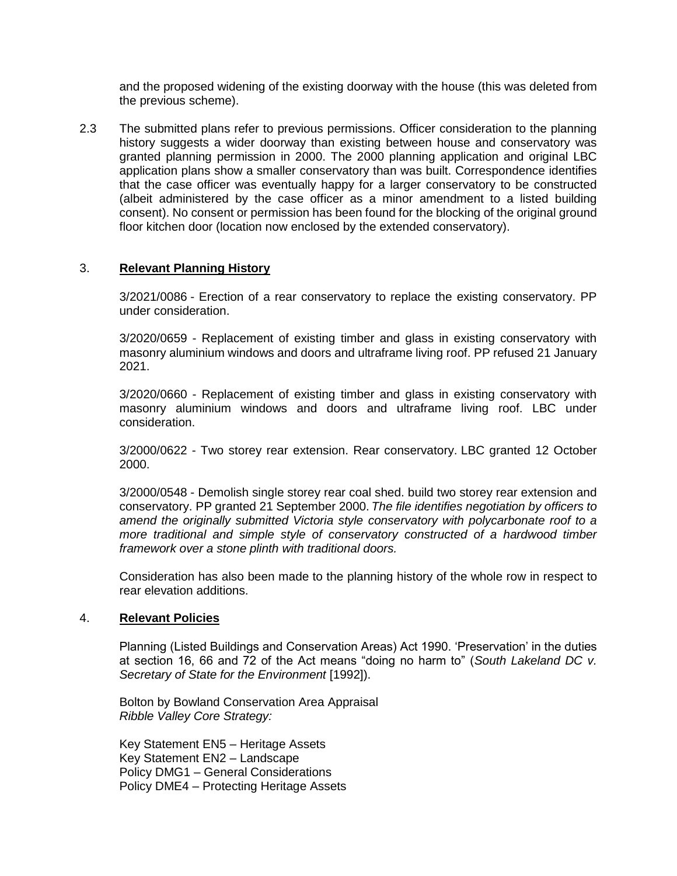and the proposed widening of the existing doorway with the house (this was deleted from the previous scheme).

2.3 The submitted plans refer to previous permissions. Officer consideration to the planning history suggests a wider doorway than existing between house and conservatory was granted planning permission in 2000. The 2000 planning application and original LBC application plans show a smaller conservatory than was built. Correspondence identifies that the case officer was eventually happy for a larger conservatory to be constructed (albeit administered by the case officer as a minor amendment to a listed building consent). No consent or permission has been found for the blocking of the original ground floor kitchen door (location now enclosed by the extended conservatory).

#### 3. **Relevant Planning History**

3/2021/0086 - Erection of a rear conservatory to replace the existing conservatory. PP under consideration.

3/2020/0659 - Replacement of existing timber and glass in existing conservatory with masonry aluminium windows and doors and ultraframe living roof. PP refused 21 January 2021.

3/2020/0660 - Replacement of existing timber and glass in existing conservatory with masonry aluminium windows and doors and ultraframe living roof. LBC under consideration.

3/2000/0622 - Two storey rear extension. Rear conservatory. LBC granted 12 October 2000.

3/2000/0548 - Demolish single storey rear coal shed. build two storey rear extension and conservatory. PP granted 21 September 2000. *The file identifies negotiation by officers to amend the originally submitted Victoria style conservatory with polycarbonate roof to a more traditional and simple style of conservatory constructed of a hardwood timber framework over a stone plinth with traditional doors.*

Consideration has also been made to the planning history of the whole row in respect to rear elevation additions.

#### 4. **Relevant Policies**

Planning (Listed Buildings and Conservation Areas) Act 1990. 'Preservation' in the duties at section 16, 66 and 72 of the Act means "doing no harm to" (*South Lakeland DC v. Secretary of State for the Environment* [1992]).

Bolton by Bowland Conservation Area Appraisal *Ribble Valley Core Strategy:* 

Key Statement EN5 – Heritage Assets Key Statement EN2 – Landscape Policy DMG1 – General Considerations Policy DME4 – Protecting Heritage Assets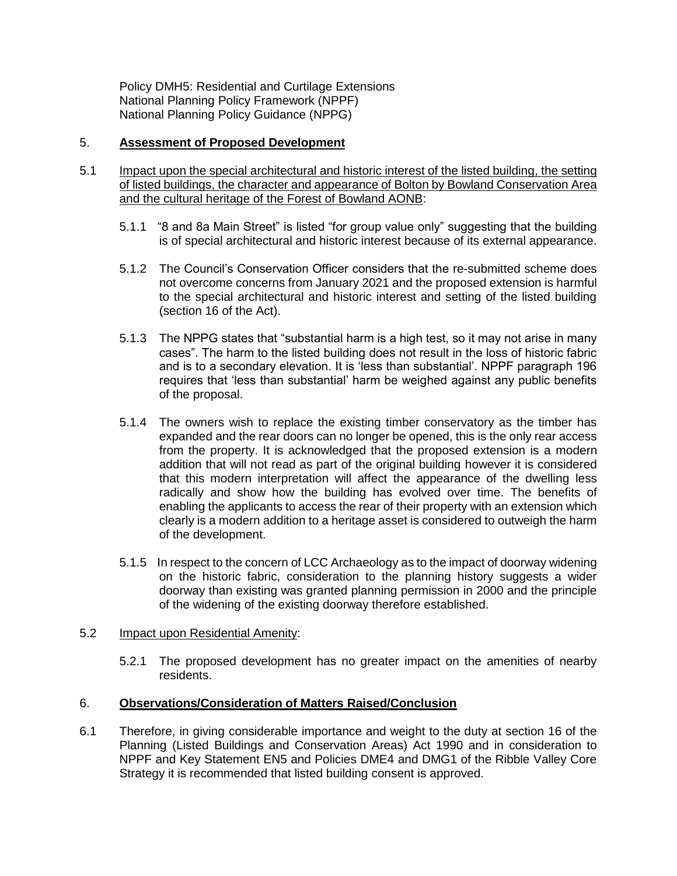Policy DMH5: Residential and Curtilage Extensions National Planning Policy Framework (NPPF) National Planning Policy Guidance (NPPG)

### 5. **Assessment of Proposed Development**

- 5.1 Impact upon the special architectural and historic interest of the listed building, the setting of listed buildings, the character and appearance of Bolton by Bowland Conservation Area and the cultural heritage of the Forest of Bowland AONB:
	- 5.1.1 "8 and 8a Main Street" is listed "for group value only" suggesting that the building is of special architectural and historic interest because of its external appearance.
	- 5.1.2 The Council's Conservation Officer considers that the re-submitted scheme does not overcome concerns from January 2021 and the proposed extension is harmful to the special architectural and historic interest and setting of the listed building (section 16 of the Act).
	- 5.1.3 The NPPG states that "substantial harm is a high test, so it may not arise in many cases". The harm to the listed building does not result in the loss of historic fabric and is to a secondary elevation. It is 'less than substantial'. NPPF paragraph 196 requires that 'less than substantial' harm be weighed against any public benefits of the proposal.
	- 5.1.4 The owners wish to replace the existing timber conservatory as the timber has expanded and the rear doors can no longer be opened, this is the only rear access from the property. It is acknowledged that the proposed extension is a modern addition that will not read as part of the original building however it is considered that this modern interpretation will affect the appearance of the dwelling less radically and show how the building has evolved over time. The benefits of enabling the applicants to access the rear of their property with an extension which clearly is a modern addition to a heritage asset is considered to outweigh the harm of the development.
	- 5.1.5 In respect to the concern of LCC Archaeology as to the impact of doorway widening on the historic fabric, consideration to the planning history suggests a wider doorway than existing was granted planning permission in 2000 and the principle of the widening of the existing doorway therefore established.

#### 5.2 Impact upon Residential Amenity:

5.2.1 The proposed development has no greater impact on the amenities of nearby residents.

#### 6. **Observations/Consideration of Matters Raised/Conclusion**

6.1 Therefore, in giving considerable importance and weight to the duty at section 16 of the Planning (Listed Buildings and Conservation Areas) Act 1990 and in consideration to NPPF and Key Statement EN5 and Policies DME4 and DMG1 of the Ribble Valley Core Strategy it is recommended that listed building consent is approved.